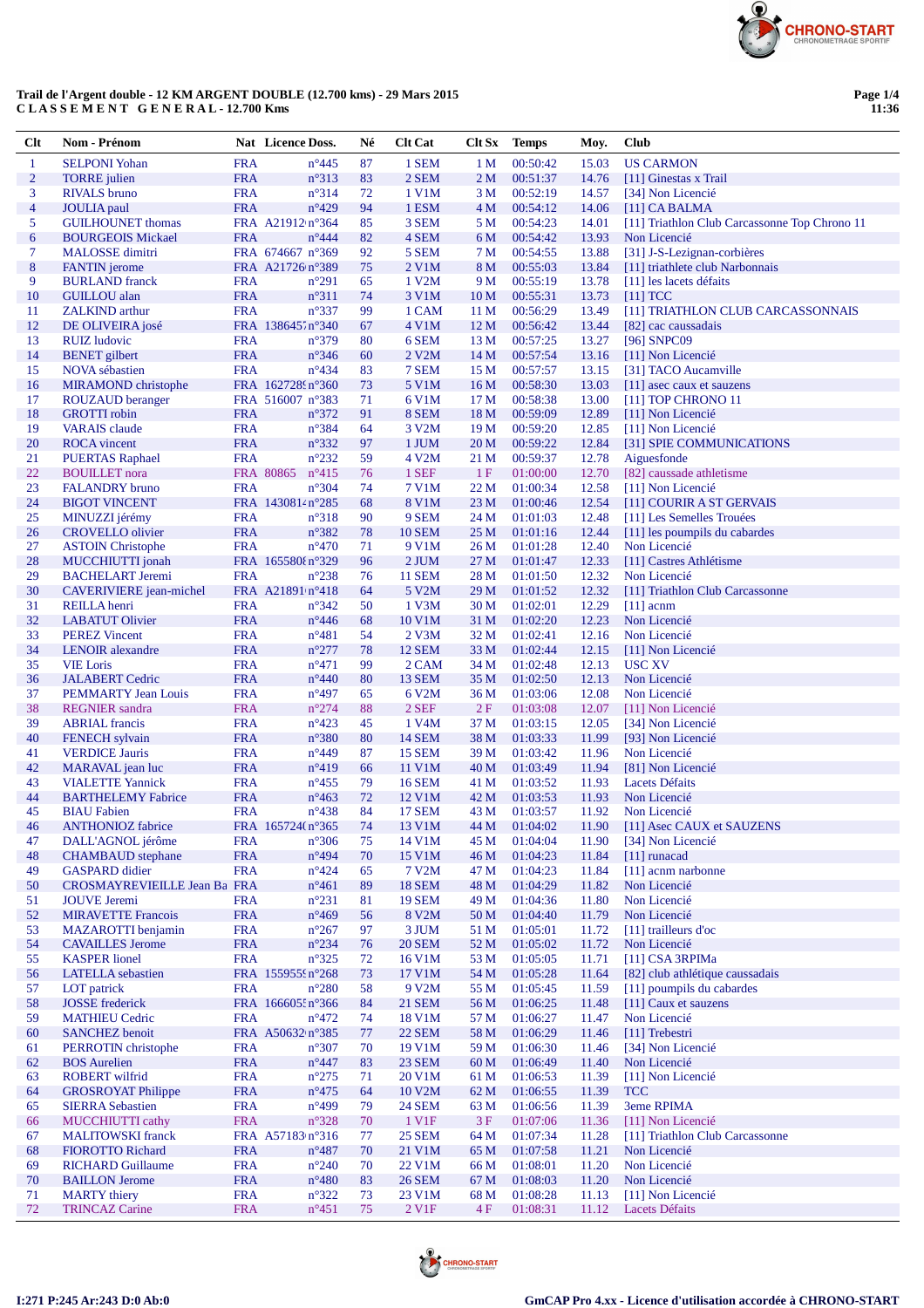

## Trail de l'Argent double - 12 KM ARGENT DOUBLE  $(12.700 \text{ km}\text{s})$  - 29 Mars 2015 C LA S S E M E N T G E N E R A L - 12.700 Kms

| Clt                 | Nom - Prénom                                         |                          | Nat Licence Doss.                             | Né       | <b>Clt Cat</b>                      | Clt Sx          | <b>Temps</b>         | Moy.           | Club                                                             |
|---------------------|------------------------------------------------------|--------------------------|-----------------------------------------------|----------|-------------------------------------|-----------------|----------------------|----------------|------------------------------------------------------------------|
| $\mathbf{1}$        | <b>SELPONI</b> Yohan                                 | <b>FRA</b>               | $n^{\circ}445$                                | 87       | 1 SEM                               | 1 <sub>M</sub>  | 00:50:42             | 15.03          | <b>US CARMON</b>                                                 |
| $\overline{2}$      | <b>TORRE</b> julien                                  | <b>FRA</b>               | $n^{\circ}313$                                | 83       | 2 SEM                               | 2 <sub>M</sub>  | 00:51:37             | 14.76          | [11] Ginestas x Trail                                            |
| 3                   | <b>RIVALS</b> bruno                                  | <b>FRA</b>               | $n^{\circ}314$                                | 72       | 1 V1M                               | 3 M             | 00:52:19             | 14.57          | [34] Non Licencié                                                |
| $\overline{4}$<br>5 | <b>JOULIA</b> paul<br><b>GUILHOUNET</b> thomas       | <b>FRA</b>               | $n^{\circ}429$<br>FRA A21912 n°364            | 94<br>85 | 1 ESM<br>3 SEM                      | 4 M<br>5 M      | 00:54:12<br>00:54:23 | 14.06<br>14.01 | $[11]$ CA BALMA<br>[11] Triathlon Club Carcassonne Top Chrono 11 |
| 6                   | <b>BOURGEOIS Mickael</b>                             | <b>FRA</b>               | $n^{\circ}444$                                | 82       | 4 SEM                               | 6 M             | 00:54:42             | 13.93          | Non Licencié                                                     |
| 7                   | <b>MALOSSE</b> dimitri                               |                          | FRA 674667 n°369                              | 92       | 5 SEM                               | 7 M             | 00:54:55             | 13.88          | [31] J-S-Lezignan-corbières                                      |
| $\bf 8$             | <b>FANTIN</b> jerome                                 |                          | FRA A21726 n°389                              | 75       | 2 V1M                               | 8 M             | 00:55:03             | 13.84          | [11] triathlete club Narbonnais                                  |
| 9                   | <b>BURLAND</b> franck                                | <b>FRA</b>               | $n^{\circ}291$                                | 65       | 1 V2M                               | 9 M             | 00:55:19             | 13.78          | [11] les lacets défaits                                          |
| 10                  | <b>GUILLOU</b> alan                                  | <b>FRA</b>               | $n^{\circ}311$                                | 74       | 3 V1M                               | 10 <sub>M</sub> | 00:55:31             | 13.73          | $[11]$ TCC                                                       |
| 11                  | <b>ZALKIND</b> arthur                                | <b>FRA</b>               | $n^{\circ}337$                                | 99       | 1 CAM                               | 11 M            | 00:56:29             | 13.49          | [11] TRIATHLON CLUB CARCASSONNAIS                                |
| 12                  | DE OLIVEIRA josé                                     |                          | FRA 138645.n°340                              | 67       | 4 V1M                               | 12 M            | 00:56:42             | 13.44          | [82] cac caussadais                                              |
| 13<br>14            | <b>RUIZ</b> ludovic<br><b>BENET</b> gilbert          | <b>FRA</b><br><b>FRA</b> | $n^{\circ}379$<br>$n^{\circ}346$              | 80<br>60 | 6 SEM<br>2 V2M                      | 13 M<br>14 M    | 00:57:25<br>00:57:54 | 13.27<br>13.16 | [96] SNPC09<br>[11] Non Licencié                                 |
| 15                  | <b>NOVA</b> sébastien                                | <b>FRA</b>               | $n^{\circ}434$                                | 83       | 7 SEM                               | 15 M            | 00:57:57             | 13.15          | [31] TACO Aucamville                                             |
| 16                  | <b>MIRAMOND</b> christophe                           |                          | FRA 1627289n°360                              | 73       | 5 V1M                               | 16 M            | 00:58:30             | 13.03          | [11] asec caux et sauzens                                        |
| 17                  | <b>ROUZAUD</b> beranger                              |                          | FRA 516007 n°383                              | 71       | 6 V1M                               | 17 M            | 00:58:38             | 13.00          | [11] TOP CHRONO 11                                               |
| 18                  | <b>GROTTI</b> robin                                  | <b>FRA</b>               | $n^{\circ}372$                                | 91       | 8 SEM                               | 18 M            | 00:59:09             | 12.89          | [11] Non Licencié                                                |
| 19                  | <b>VARAIS</b> claude                                 | <b>FRA</b>               | $n^{\circ}384$                                | 64       | 3 V <sub>2</sub> M                  | 19 M            | 00:59:20             | 12.85          | [11] Non Licencié                                                |
| 20                  | <b>ROCA</b> vincent                                  | <b>FRA</b>               | $n^{\circ}332$                                | 97       | 1 JUM                               | 20 M            | 00:59:22             | 12.84          | [31] SPIE COMMUNICATIONS                                         |
| 21                  | <b>PUERTAS Raphael</b>                               | <b>FRA</b>               | $n^{\circ}232$                                | 59       | 4 V2M                               | 21 M            | 00:59:37<br>01:00:00 | 12.78          | Aiguesfonde<br>[82] caussade athletisme                          |
| 22<br>23            | <b>BOUILLET</b> nora<br><b>FALANDRY</b> bruno        | <b>FRA</b>               | FRA 80865<br>$n^{\circ}415$<br>$n^{\circ}304$ | 76<br>74 | 1 SEF<br>7 V1M                      | 1F<br>22 M      | 01:00:34             | 12.70<br>12.58 | [11] Non Licencié                                                |
| 24                  | <b>BIGOT VINCENT</b>                                 |                          | FRA 1430814 n°285                             | 68       | 8 V1M                               | 23 M            | 01:00:46             | 12.54          | [11] COURIR A ST GERVAIS                                         |
| 25                  | MINUZZI jérémy                                       | <b>FRA</b>               | $n^{\circ}318$                                | 90       | 9 SEM                               | 24 M            | 01:01:03             | 12.48          | [11] Les Semelles Trouées                                        |
| 26                  | <b>CROVELLO</b> olivier                              | <b>FRA</b>               | $n^{\circ}382$                                | 78       | <b>10 SEM</b>                       | 25 M            | 01:01:16             | 12.44          | [11] les poumpils du cabardes                                    |
| 27                  | <b>ASTOIN Christophe</b>                             | <b>FRA</b>               | $n^{\circ}470$                                | 71       | 9 V1M                               | 26 M            | 01:01:28             | 12.40          | Non Licencié                                                     |
| 28                  | MUCCHIUTTI jonah                                     |                          | FRA 165580{n°329                              | 96       | 2 JUM                               | 27 M            | 01:01:47             | 12.33          | [11] Castres Athlétisme                                          |
| 29                  | <b>BACHELART Jeremi</b>                              | <b>FRA</b>               | $n^{\circ}238$                                | 76       | <b>11 SEM</b>                       | 28 M            | 01:01:50             | 12.32          | Non Licencié                                                     |
| 30                  | <b>CAVERIVIERE</b> jean-michel                       |                          | FRA A21891 n°418                              | 64       | 5 V2M                               | 29 M            | 01:01:52             | 12.32          | [11] Triathlon Club Carcassonne                                  |
| 31<br>32            | REILLA henri<br><b>LABATUT Olivier</b>               | <b>FRA</b><br><b>FRA</b> | $n^{\circ}342$<br>$n^{\circ}446$              | 50<br>68 | 1 V3M<br>10 V1M                     | 30 M<br>31 M    | 01:02:01<br>01:02:20 | 12.29<br>12.23 | $[11]$ acnm<br>Non Licencié                                      |
| 33                  | <b>PEREZ Vincent</b>                                 | <b>FRA</b>               | $n^{\circ}481$                                | 54       | $2$ V $3M$                          | 32 M            | 01:02:41             | 12.16          | Non Licencié                                                     |
| 34                  | <b>LENOIR</b> alexandre                              | <b>FRA</b>               | $n^{\circ}277$                                | 78       | <b>12 SEM</b>                       | 33 M            | 01:02:44             | 12.15          | [11] Non Licencié                                                |
| 35                  | <b>VIE Loris</b>                                     | <b>FRA</b>               | $n^{\circ}471$                                | 99       | 2 CAM                               | 34 M            | 01:02:48             | 12.13          | <b>USC XV</b>                                                    |
| 36                  | <b>JALABERT</b> Cedric                               | <b>FRA</b>               | $n^{\circ}440$                                | 80       | <b>13 SEM</b>                       | 35 M            | 01:02:50             | 12.13          | Non Licencié                                                     |
| 37                  | <b>PEMMARTY Jean Louis</b>                           | <b>FRA</b>               | $n^{\circ}497$                                | 65       | 6 V2M                               | 36 M            | 01:03:06             | 12.08          | Non Licencié                                                     |
| 38                  | <b>REGNIER</b> sandra                                | <b>FRA</b>               | $n^{\circ}274$                                | 88       | 2 SEF                               | 2F              | 01:03:08             | 12.07          | [11] Non Licencié                                                |
| 39<br>40            | <b>ABRIAL</b> francis<br><b>FENECH</b> sylvain       | <b>FRA</b><br><b>FRA</b> | $n^{\circ}423$<br>$n^{\circ}380$              | 45<br>80 | 1 V <sub>4</sub> M<br><b>14 SEM</b> | 37 M<br>38 M    | 01:03:15<br>01:03:33 | 12.05<br>11.99 | [34] Non Licencié<br>[93] Non Licencié                           |
| 41                  | <b>VERDICE Jauris</b>                                | <b>FRA</b>               | $n^{\circ}449$                                | 87       | <b>15 SEM</b>                       | 39 M            | 01:03:42             | 11.96          | Non Licencié                                                     |
| 42                  | MARAVAL jean luc                                     | <b>FRA</b>               | $n^{\circ}419$                                | 66       | 11 V1M                              | 40 M            | 01:03:49             | 11.94          | [81] Non Licencié                                                |
| 43                  | <b>VIALETTE Yannick</b>                              | <b>FRA</b>               | $n^{\circ}455$                                | 79       | <b>16 SEM</b>                       | 41 M            | 01:03:52             | 11.93          | Lacets Défaits                                                   |
| 44                  | <b>BARTHELEMY Fabrice</b>                            | <b>FRA</b>               | $n^{\circ}463$                                | 72       | 12 V1M                              | 42 M            | 01:03:53             | 11.93          | Non Licencié                                                     |
| 45                  | <b>BIAU</b> Fabien                                   | <b>FRA</b>               | $n^{\circ}438$                                | 84       | <b>17 SEM</b>                       | 43 M            | 01:03:57             | 11.92          | Non Licencié                                                     |
| 46                  | <b>ANTHONIOZ</b> fabrice                             |                          | FRA 165724(n°365                              | 74       | 13 V1M                              | 44 M            | 01:04:02             |                | 11.90 [11] Asec CAUX et SAUZENS                                  |
| 47                  | DALL'AGNOL jérôme                                    | <b>FRA</b>               | $n^{\circ}306$                                | 75       | 14 V1M                              | 45 M            | 01:04:04             | 11.90          | [34] Non Licencié                                                |
| 48<br>49            | <b>CHAMBAUD</b> stephane<br><b>GASPARD</b> didier    | <b>FRA</b><br><b>FRA</b> | $n^{\circ}494$<br>$n^{\circ}424$              | 70<br>65 | 15 V1M<br>7 V <sub>2</sub> M        | 46 M<br>47 M    | 01:04:23<br>01:04:23 | 11.84<br>11.84 | $[11]$ runacad<br>[11] acnm narbonne                             |
| 50                  | CROSMAYREVIEILLE Jean Ba FRA                         |                          | $n^{\circ}461$                                | 89       | <b>18 SEM</b>                       | 48 M            | 01:04:29             | 11.82          | Non Licencié                                                     |
| 51                  | <b>JOUVE</b> Jeremi                                  | <b>FRA</b>               | $n^{\circ}231$                                | 81       | <b>19 SEM</b>                       | 49 M            | 01:04:36             | 11.80          | Non Licencié                                                     |
| 52                  | <b>MIRAVETTE Francois</b>                            | <b>FRA</b>               | $n^{\circ}469$                                | 56       | 8 V <sub>2</sub> M                  | 50 M            | 01:04:40             | 11.79          | Non Licencié                                                     |
| 53                  | <b>MAZAROTTI</b> benjamin                            | <b>FRA</b>               | $n^{\circ}267$                                | 97       | 3 JUM                               | 51 M            | 01:05:01             | 11.72          | [11] trailleurs d'oc                                             |
| 54                  | <b>CAVAILLES Jerome</b>                              | <b>FRA</b>               | $n^{\circ}234$                                | 76       | <b>20 SEM</b>                       | 52 M            | 01:05:02             | 11.72          | Non Licencié                                                     |
| 55                  | <b>KASPER</b> lionel                                 | <b>FRA</b>               | $n^{\circ}325$                                | 72       | 16 V1M                              | 53 M            | 01:05:05             | 11.71          | $[11]$ CSA 3RPIMa<br>[82] club athlétique caussadais             |
| 56<br>57            | <b>LATELLA</b> sebastien<br>LOT patrick              | <b>FRA</b>               | FRA 1559555n°268<br>$n^{\circ}280$            | 73<br>58 | 17 V1M<br>9 V2M                     | 54 M<br>55 M    | 01:05:28<br>01:05:45 | 11.64<br>11.59 | [11] poumpils du cabardes                                        |
| 58                  | <b>JOSSE</b> frederick                               |                          | FRA 166605: n°366                             | 84       | <b>21 SEM</b>                       | 56 M            | 01:06:25             | 11.48          | [11] Caux et sauzens                                             |
| 59                  | <b>MATHIEU Cedric</b>                                | <b>FRA</b>               | $n^{\circ}472$                                | 74       | 18 V1M                              | 57 M            | 01:06:27             | 11.47          | Non Licencié                                                     |
| 60                  | <b>SANCHEZ</b> benoit                                |                          | FRA A50632 n°385                              | $77$     | <b>22 SEM</b>                       | 58 M            | 01:06:29             | 11.46          | [11] Trebestri                                                   |
| 61                  | PERROTIN christophe                                  | <b>FRA</b>               | $n^{\circ}307$                                | 70       | 19 V1M                              | 59 M            | 01:06:30             | 11.46          | [34] Non Licencié                                                |
| 62                  | <b>BOS</b> Aurelien                                  | <b>FRA</b>               | $n^{\circ}447$                                | 83       | 23 SEM                              | 60 M            | 01:06:49             | 11.40          | Non Licencié                                                     |
| 63                  | <b>ROBERT</b> wilfrid                                | <b>FRA</b>               | $n^{\circ}275$                                | 71       | 20 V1M                              | 61 M            | 01:06:53             | 11.39          | [11] Non Licencié                                                |
| 64                  | <b>GROSROYAT Philippe</b><br><b>SIERRA Sebastien</b> | <b>FRA</b><br><b>FRA</b> | $n^{\circ}475$<br>$n^{\circ}499$              | 64<br>79 | 10 V2M<br><b>24 SEM</b>             | 62 M<br>63 M    | 01:06:55<br>01:06:56 | 11.39<br>11.39 | <b>TCC</b><br>3eme RPIMA                                         |
| 65<br>66            | MUCCHIUTTI cathy                                     | <b>FRA</b>               | $n^{\circ}328$                                | 70       | 1 V1F                               | 3F              | 01:07:06             | 11.36          | [11] Non Licencié                                                |
| 67                  | <b>MALITOWSKI</b> franck                             |                          | FRA A57183 n°316                              | 77       | <b>25 SEM</b>                       | 64 M            | 01:07:34             | 11.28          | [11] Triathlon Club Carcassonne                                  |
| 68                  | <b>FIOROTTO Richard</b>                              | <b>FRA</b>               | $n^{\circ}487$                                | 70       | 21 V1M                              | 65 M            | 01:07:58             | 11.21          | Non Licencié                                                     |
| 69                  | <b>RICHARD Guillaume</b>                             | <b>FRA</b>               | $n^{\circ}240$                                | 70       | 22 V1M                              | 66 M            | 01:08:01             | 11.20          | Non Licencié                                                     |
| 70                  | <b>BAILLON Jerome</b>                                | <b>FRA</b>               | $n^{\circ}480$                                | 83       | <b>26 SEM</b>                       | 67 M            | 01:08:03             | 11.20          | Non Licencié                                                     |
| 71                  | <b>MARTY</b> thiery                                  | <b>FRA</b>               | $n^{\circ}322$                                | 73       | 23 V1M                              | 68 M            | 01:08:28             | 11.13          | [11] Non Licencié                                                |
| 72                  | <b>TRINCAZ Carine</b>                                | <b>FRA</b>               | $n^{\circ}451$                                | 75       | 2 V1F                               | 4F              | 01:08:31             | 11.12          | Lacets Défaits                                                   |

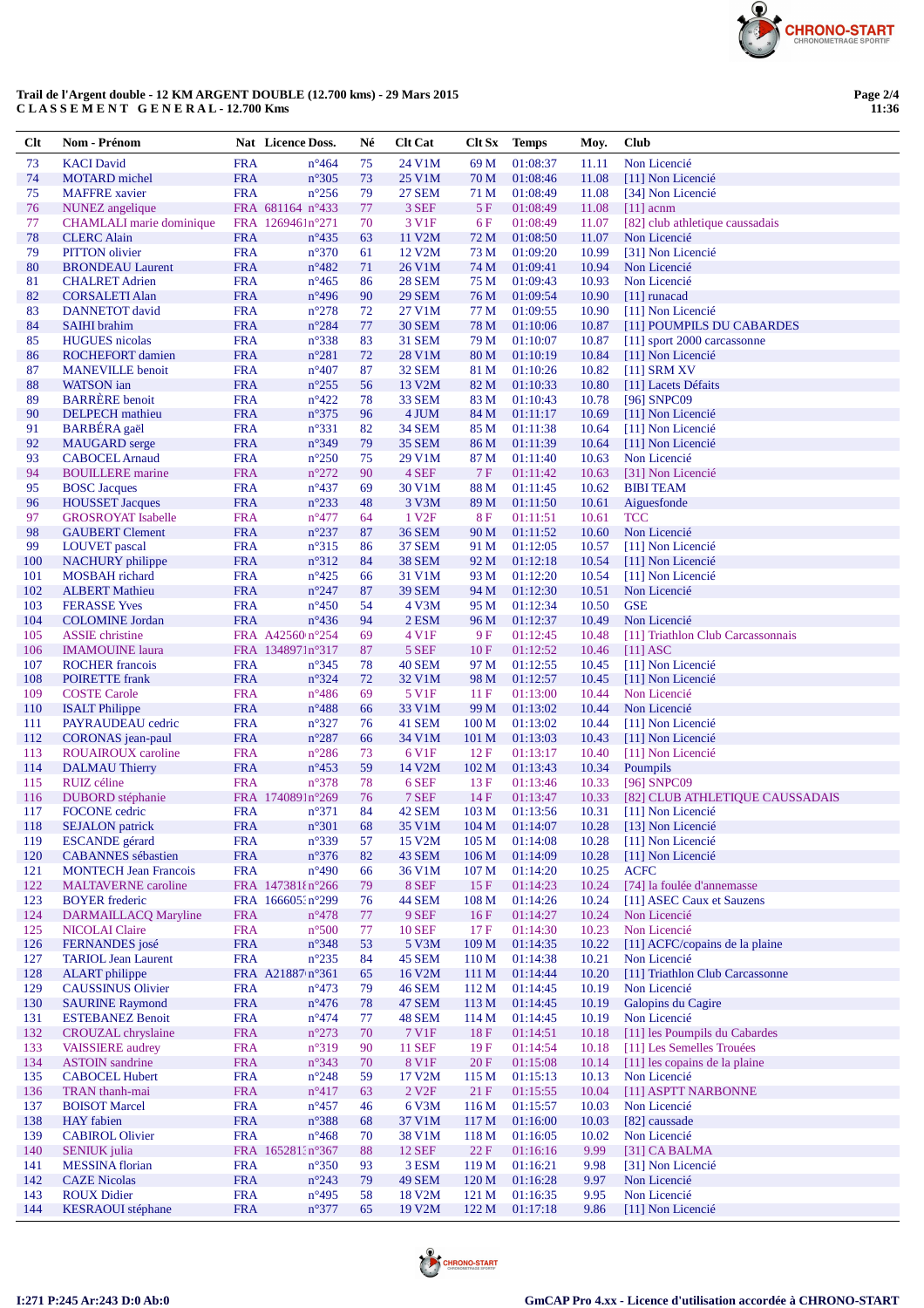

## Trail de l'Argent double - 12 KM ARGENT DOUBLE  $(12.700 \text{ km}\text{s})$  - 29 Mars 2015 C LA S S E M E N T G E N E R A L - 12.700 Kms

Page 2/4<br>11:36

| Clt        | Nom - Prénom                                         |                          | Nat Licence Doss.                  | Né       | <b>Clt Cat</b>                | <b>Clt Sx</b>           | <b>Temps</b>         | Moy.           | Club                                      |
|------------|------------------------------------------------------|--------------------------|------------------------------------|----------|-------------------------------|-------------------------|----------------------|----------------|-------------------------------------------|
| 73         | <b>KACI</b> David                                    | <b>FRA</b>               | $n^{\circ}464$                     | 75       | 24 V1M                        | 69 M                    | 01:08:37             | 11.11          | Non Licencié                              |
| 74         | <b>MOTARD</b> michel                                 | <b>FRA</b>               | $n^{\circ}305$                     | 73       | 25 V1M                        | 70 M                    | 01:08:46             | 11.08          | [11] Non Licencié                         |
| 75         | <b>MAFFRE</b> xavier                                 | <b>FRA</b>               | $n^{\circ}256$                     | 79       | <b>27 SEM</b>                 | 71 M                    | 01:08:49             | 11.08          | [34] Non Licencié                         |
| 76         | NUNEZ angelique                                      |                          | FRA 681164 n°433                   | 77       | 3 SEF                         | 5F                      | 01:08:49             | 11.08          | $[11]$ acnm                               |
| 77         | <b>CHAMLALI</b> marie dominique                      |                          | FRA 1269461n°271                   | 70       | 3 V1F                         | 6 F                     | 01:08:49             | 11.07          | [82] club athletique caussadais           |
| 78<br>79   | <b>CLERC</b> Alain<br><b>PITTON</b> olivier          | <b>FRA</b><br><b>FRA</b> | $n^{\circ}435$<br>$n^{\circ}370$   | 63       | 11 V2M<br>12 V <sub>2</sub> M | 72 M<br>73 M            | 01:08:50             | 11.07          | Non Licencié<br>[31] Non Licencié         |
| 80         | <b>BRONDEAU Laurent</b>                              | <b>FRA</b>               | $n^{\circ}482$                     | 61<br>71 | 26 V1M                        | 74 M                    | 01:09:20<br>01:09:41 | 10.99<br>10.94 | Non Licencié                              |
| 81         | <b>CHALRET Adrien</b>                                | <b>FRA</b>               | $n^{\circ}465$                     | 86       | <b>28 SEM</b>                 | 75 M                    | 01:09:43             | 10.93          | Non Licencié                              |
| 82         | <b>CORSALETI Alan</b>                                | <b>FRA</b>               | $n^{\circ}496$                     | 90       | <b>29 SEM</b>                 | 76 M                    | 01:09:54             | 10.90          | $[11]$ runacad                            |
| 83         | DANNETOT david                                       | <b>FRA</b>               | $n^{\circ}278$                     | 72       | 27 V1M                        | 77 M                    | 01:09:55             | 10.90          | [11] Non Licencié                         |
| 84         | <b>SAIHI</b> brahim                                  | <b>FRA</b>               | $n^{\circ}284$                     | 77       | <b>30 SEM</b>                 | 78 M                    | 01:10:06             | 10.87          | [11] POUMPILS DU CABARDES                 |
| 85         | <b>HUGUES</b> nicolas                                | <b>FRA</b>               | n°338                              | 83       | <b>31 SEM</b>                 | 79 M                    | 01:10:07             | 10.87          | [11] sport 2000 carcassonne               |
| 86         | ROCHEFORT damien                                     | <b>FRA</b>               | $n^{\circ}281$                     | 72       | 28 V1M                        | 80 M                    | 01:10:19             | 10.84          | [11] Non Licencié                         |
| 87         | <b>MANEVILLE</b> benoit                              | <b>FRA</b>               | $n^{\circ}407$                     | 87       | <b>32 SEM</b>                 | 81 M                    | 01:10:26             | 10.82          | $[11]$ SRM XV                             |
| 88         | <b>WATSON</b> ian                                    | <b>FRA</b>               | $n^{\circ}255$                     | 56       | 13 V2M                        | 82 M                    | 01:10:33             | 10.80          | [11] Lacets Défaits                       |
| 89         | <b>BARRERE</b> benoit                                | <b>FRA</b>               | $n^{\circ}422$                     | 78       | <b>33 SEM</b>                 | 83 M                    | 01:10:43             | 10.78          | [96] SNPC09                               |
| 90<br>91   | <b>DELPECH</b> mathieu<br><b>BARBÉRA</b> gaël        | <b>FRA</b><br><b>FRA</b> | $n^{\circ}375$<br>n°331            | 96<br>82 | 4 JUM<br><b>34 SEM</b>        | 84 M<br>85 M            | 01:11:17<br>01:11:38 | 10.69<br>10.64 | [11] Non Licencié<br>[11] Non Licencié    |
| 92         | <b>MAUGARD</b> serge                                 | <b>FRA</b>               | n°349                              | 79       | <b>35 SEM</b>                 | 86 M                    | 01:11:39             | 10.64          | [11] Non Licencié                         |
| 93         | <b>CABOCEL Arnaud</b>                                | <b>FRA</b>               | $n^{\circ}250$                     | 75       | 29 V1M                        | 87 M                    | 01:11:40             | 10.63          | Non Licencié                              |
| 94         | <b>BOUILLERE</b> marine                              | <b>FRA</b>               | $n^{\circ}272$                     | 90       | 4 SEF                         | 7F                      | 01:11:42             | 10.63          | [31] Non Licencié                         |
| 95         | <b>BOSC</b> Jacques                                  | <b>FRA</b>               | $n^{\circ}437$                     | 69       | 30 V1M                        | 88 M                    | 01:11:45             | 10.62          | <b>BIBI TEAM</b>                          |
| 96         | <b>HOUSSET Jacques</b>                               | <b>FRA</b>               | $n^{\circ}233$                     | 48       | 3 V3M                         | 89 M                    | 01:11:50             | 10.61          | Aiguesfonde                               |
| 97         | <b>GROSROYAT</b> Isabelle                            | <b>FRA</b>               | $n^{\circ}477$                     | 64       | 1 V <sub>2F</sub>             | 8F                      | 01:11:51             | 10.61          | <b>TCC</b>                                |
| 98         | <b>GAUBERT Clement</b>                               | <b>FRA</b>               | $n^{\circ}237$                     | 87       | <b>36 SEM</b>                 | 90 M                    | 01:11:52             | 10.60          | Non Licencié                              |
| 99         | <b>LOUVET</b> pascal                                 | <b>FRA</b>               | $n^{\circ}315$                     | 86       | <b>37 SEM</b>                 | 91 M                    | 01:12:05             | 10.57          | [11] Non Licencié                         |
| 100        | <b>NACHURY</b> philippe                              | <b>FRA</b>               | $n^{\circ}312$                     | 84       | <b>38 SEM</b>                 | 92 M                    | 01:12:18             | 10.54          | [11] Non Licencié                         |
| 101<br>102 | MOSBAH richard                                       | <b>FRA</b><br><b>FRA</b> | $n^{\circ}425$<br>$n^{\circ}247$   | 66<br>87 | 31 V1M                        | 93 M<br>94 M            | 01:12:20<br>01:12:30 | 10.54          | [11] Non Licencié<br>Non Licencié         |
| 103        | <b>ALBERT Mathieu</b><br><b>FERASSE Yves</b>         | <b>FRA</b>               | $n^{\circ}450$                     | 54       | <b>39 SEM</b><br>4 V3M        | 95 M                    | 01:12:34             | 10.51<br>10.50 | <b>GSE</b>                                |
| 104        | <b>COLOMINE</b> Jordan                               | <b>FRA</b>               | $n^{\circ}436$                     | 94       | 2 ESM                         | 96 M                    | 01:12:37             | 10.49          | Non Licencié                              |
| 105        | <b>ASSIE</b> christine                               |                          | FRA A42560 n°254                   | 69       | 4 V1F                         | 9 F                     | 01:12:45             | 10.48          | [11] Triathlon Club Carcassonnais         |
| 106        | <b>IMAMOUINE</b> laura                               |                          | FRA 1348971n°317                   | 87       | 5 SEF                         | 10F                     | 01:12:52             | 10.46          | $[11]$ ASC                                |
| 107        | <b>ROCHER</b> francois                               | <b>FRA</b>               | $n^{\circ}345$                     | 78       | 40 SEM                        | 97 M                    | 01:12:55             | 10.45          | [11] Non Licencié                         |
| 108        | <b>POIRETTE</b> frank                                | <b>FRA</b>               | $n^{\circ}324$                     | 72       | 32 V1M                        | 98 M                    | 01:12:57             | 10.45          | [11] Non Licencié                         |
| 109        | <b>COSTE Carole</b>                                  | <b>FRA</b>               | $n^{\circ}486$                     | 69       | 5 V <sub>1F</sub>             | 11F                     | 01:13:00             | 10.44          | Non Licencié                              |
| 110        | <b>ISALT</b> Philippe                                | <b>FRA</b>               | $n^{\circ}488$                     | 66       | 33 V1M                        | 99 M                    | 01:13:02             | 10.44          | Non Licencié                              |
| 111        | PAYRAUDEAU cedric                                    | <b>FRA</b>               | $n^{\circ}327$                     | 76       | 41 SEM                        | 100 <sub>M</sub>        | 01:13:02             | 10.44          | [11] Non Licencié                         |
| 112        | CORONAS jean-paul<br><b>ROUAIROUX</b> caroline       | <b>FRA</b><br><b>FRA</b> | $n^{\circ}287$<br>$n^{\circ}286$   | 66       | 34 V1M                        | 101 M                   | 01:13:03             | 10.43          | [11] Non Licencié                         |
| 113<br>114 | <b>DALMAU Thierry</b>                                | <b>FRA</b>               | $n^{\circ}453$                     | 73<br>59 | 6 V <sub>1F</sub><br>14 V2M   | 12F<br>102 M            | 01:13:17<br>01:13:43 | 10.40<br>10.34 | [11] Non Licencié<br>Poumpils             |
| 115        | RUIZ céline                                          | <b>FRA</b>               | $n^{\circ}378$                     | 78       | 6 SEF                         | 13F                     | 01:13:46             | 10.33          | [96] SNPC09                               |
| 116        | <b>DUBORD</b> stéphanie                              |                          | FRA 1740891n°269                   | 76       | 7 SEF                         | 14F                     | 01:13:47             | 10.33          | [82] CLUB ATHLETIQUE CAUSSADAIS           |
| 117        | <b>FOCONE</b> cedric                                 | <b>FRA</b>               | $n^{\circ}371$                     | 84       | 42 SEM                        | 103 M                   | 01:13:56             | 10.31          | [11] Non Licencié                         |
| 118        | <b>SEJALON</b> patrick                               | <b>FRA</b>               | $n^{\circ}301$                     | 68       | 35 V1M                        | 104 M                   | 01:14:07             | 10.28          | [13] Non Licencié                         |
| 119        | <b>ESCANDE</b> gérard                                | <b>FRA</b>               | n°339                              | 57       | 15 V2M                        | 105 <sub>M</sub>        | 01:14:08             | 10.28          | [11] Non Licencié                         |
| 120        | <b>CABANNES</b> sébastien                            | <b>FRA</b>               | $n^{\circ}376$                     | 82       | 43 SEM                        | 106 M                   | 01:14:09             | 10.28          | [11] Non Licencié                         |
| 121        | <b>MONTECH Jean Francois</b>                         | <b>FRA</b>               | $n^{\circ}490$                     | 66       | 36 V1M                        | 107 <sub>M</sub>        | 01:14:20             | 10.25          | <b>ACFC</b>                               |
| 122        | <b>MALTAVERNE</b> caroline                           |                          | FRA 147381{n°266                   | 79       | 8 SEF                         | 15F                     | 01:14:23             | 10.24          | [74] la foulée d'annemasse                |
| 123<br>124 | <b>BOYER</b> frederic<br><b>DARMAILLACQ Maryline</b> | <b>FRA</b>               | FRA 166605:n°299<br>$n^{\circ}478$ | 76<br>77 | <b>44 SEM</b><br>9 SEF        | 108 <sub>M</sub><br>16F | 01:14:26<br>01:14:27 | 10.24<br>10.24 | [11] ASEC Caux et Sauzens<br>Non Licencié |
| 125        | <b>NICOLAI Claire</b>                                | <b>FRA</b>               | $n^{\circ}500$                     | 77       | <b>10 SEF</b>                 | 17F                     | 01:14:30             | 10.23          | Non Licencié                              |
| 126        | FERNANDES josé                                       | ${\rm FRA}$              | n°348                              | 53       | 5 V3M                         | 109 M                   | 01:14:35             | 10.22          | [11] ACFC/copains de la plaine            |
| 127        | <b>TARIOL Jean Laurent</b>                           | <b>FRA</b>               | $n^{\circ}235$                     | 84       | 45 SEM                        | 110 <sub>M</sub>        | 01:14:38             | 10.21          | Non Licencié                              |
| 128        | <b>ALART</b> philippe                                |                          | FRA A21887 n°361                   | 65       | 16 V2M                        | 111 M                   | 01:14:44             | 10.20          | [11] Triathlon Club Carcassonne           |
| 129        | <b>CAUSSINUS Olivier</b>                             | <b>FRA</b>               | $n^{\circ}473$                     | 79       | <b>46 SEM</b>                 | 112M                    | 01:14:45             | 10.19          | Non Licencié                              |
| 130        | <b>SAURINE Raymond</b>                               | <b>FRA</b>               | $n^{\circ}476$                     | 78       | 47 SEM                        | 113 M                   | 01:14:45             | 10.19          | Galopins du Cagire                        |
| 131        | <b>ESTEBANEZ Benoit</b>                              | <b>FRA</b>               | $n^{\circ}474$                     | 77       | 48 SEM                        | 114M                    | 01:14:45             | 10.19          | Non Licencié                              |
| 132        | <b>CROUZAL</b> chryslaine                            | <b>FRA</b>               | $n^{\circ}273$                     | 70       | 7 V1F                         | 18F                     | 01:14:51             | 10.18          | [11] les Poumpils du Cabardes             |
| 133        | <b>VAISSIERE</b> audrey                              | <b>FRA</b>               | n°319                              | 90       | <b>11 SEF</b>                 | 19F                     | 01:14:54             | 10.18          | [11] Les Semelles Trouées                 |
| 134        | <b>ASTOIN</b> sandrine                               | <b>FRA</b>               | n°343                              | 70       | <b>8 V1F</b>                  | 20 F                    | 01:15:08             | 10.14          | [11] les copains de la plaine             |
| 135        | <b>CABOCEL Hubert</b>                                | <b>FRA</b><br><b>FRA</b> | $n^{\circ}248$<br>$n^{\circ}417$   | 59       | 17 V2M<br>2 V <sub>2F</sub>   | 115 M                   | 01:15:13             | 10.13          | Non Licencié                              |
| 136<br>137 | TRAN thanh-mai<br><b>BOISOT</b> Marcel               | <b>FRA</b>               | $n^{\circ}457$                     | 63<br>46 | 6 V3M                         | 21 F<br>116 M           | 01:15:55<br>01:15:57 | 10.04<br>10.03 | [11] ASPTT NARBONNE<br>Non Licencié       |
| 138        | <b>HAY</b> fabien                                    | ${\rm FRA}$              | n°388                              | 68       | 37 V1M                        | 117 M                   | 01:16:00             | 10.03          | [82] caussade                             |
| 139        | <b>CABIROL Olivier</b>                               | <b>FRA</b>               | $n^{\circ}468$                     | 70       | 38 V1M                        | 118 <sub>M</sub>        | 01:16:05             | 10.02          | Non Licencié                              |
| 140        | <b>SENIUK</b> julia                                  |                          | FRA 165281:n°367                   | 88       | <b>12 SEF</b>                 | 22 F                    | 01:16:16             | 9.99           | [31] CA BALMA                             |
| 141        | <b>MESSINA</b> florian                               | <b>FRA</b>               | $n^{\circ}350$                     | 93       | 3 ESM                         | 119 M                   | 01:16:21             | 9.98           | [31] Non Licencié                         |
| 142        | <b>CAZE Nicolas</b>                                  | <b>FRA</b>               | $n^{\circ}243$                     | 79       | <b>49 SEM</b>                 | 120 M                   | 01:16:28             | 9.97           | Non Licencié                              |
| 143        | <b>ROUX Didier</b>                                   | <b>FRA</b>               | $n^{\circ}495$                     | 58       | 18 V <sub>2</sub> M           | 121 <sub>M</sub>        | 01:16:35             | 9.95           | Non Licencié                              |
| 144        | <b>KESRAOUI</b> stéphane                             | <b>FRA</b>               | n°377                              | 65       | 19 V2M                        | 122 M                   | 01:17:18             | 9.86           | [11] Non Licencié                         |

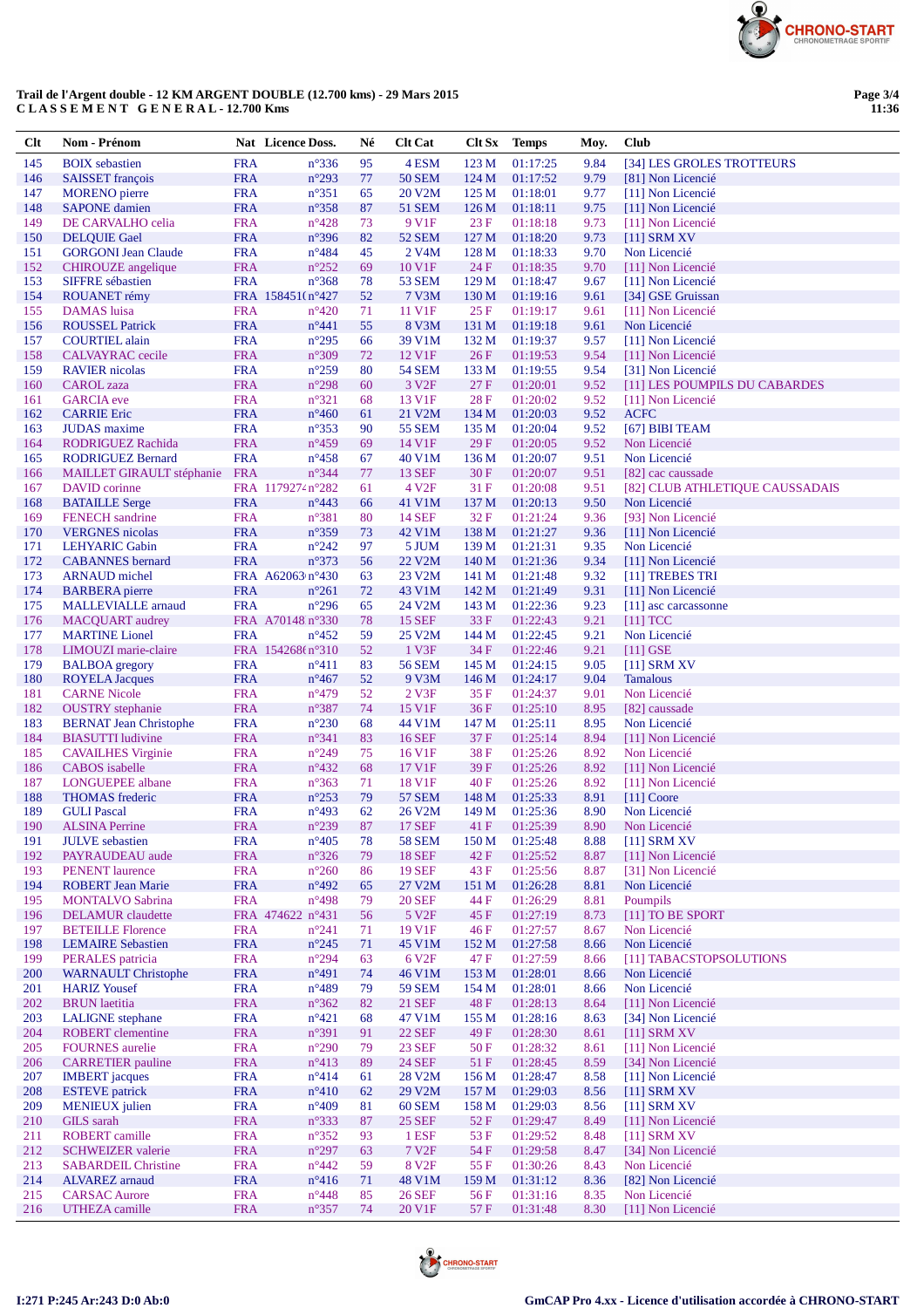

## Trail de l'Argent double - 12 KM ARGENT DOUBLE  $(12.700 \text{ km}\text{s})$  - 29 Mars 2015 C LA S S E M E N T G E N E R A L - 12.700 Kms

| Clt        | Nom - Prénom                                        |                          | <b>Nat</b> Licence Doss.           | Né       | <b>Clt Cat</b>                     | Clt Sx           | <b>Temps</b>         | Moy.         | Club                                               |
|------------|-----------------------------------------------------|--------------------------|------------------------------------|----------|------------------------------------|------------------|----------------------|--------------|----------------------------------------------------|
| 145        | <b>BOIX</b> sebastien                               | <b>FRA</b>               | $n^{\circ}336$                     | 95       | 4 ESM                              | 123 M            | 01:17:25             | 9.84         | [34] LES GROLES TROTTEURS                          |
| 146        | <b>SAISSET</b> françois                             | <b>FRA</b>               | $n^{\circ}293$                     | $77\,$   | <b>50 SEM</b>                      | 124 M            | 01:17:52             | 9.79         | [81] Non Licencié                                  |
| 147        | <b>MORENO</b> pierre                                | <b>FRA</b>               | $n^{\circ}351$                     | 65       | 20 V2M                             | 125 M            | 01:18:01             | 9.77         | [11] Non Licencié                                  |
| 148        | <b>SAPONE</b> damien                                | <b>FRA</b>               | $n^{\circ}358$                     | 87       | <b>51 SEM</b>                      | 126 <sub>M</sub> | 01:18:11             | 9.75         | [11] Non Licencié                                  |
| 149<br>150 | DE CARVALHO celia<br><b>DELQUIE Gael</b>            | <b>FRA</b><br><b>FRA</b> | $n^{\circ}428$<br>$n^{\circ}396$   | 73<br>82 | 9 V <sub>1F</sub><br><b>52 SEM</b> | 23 F<br>127 M    | 01:18:18<br>01:18:20 | 9.73<br>9.73 | [11] Non Licencié<br>$[11]$ SRM XV                 |
| 151        | <b>GORGONI Jean Claude</b>                          | <b>FRA</b>               | $n^{\circ}484$                     | 45       | 2 V <sub>4</sub> M                 | 128 M            | 01:18:33             | 9.70         | Non Licencié                                       |
| 152        | <b>CHIROUZE</b> angelique                           | <b>FRA</b>               | $n^{\circ}252$                     | 69       | 10 V1F                             | 24 F             | 01:18:35             | 9.70         | [11] Non Licencié                                  |
| 153        | <b>SIFFRE</b> sébastien                             | <b>FRA</b>               | $n^{\circ}368$                     | 78       | <b>53 SEM</b>                      | 129 <sub>M</sub> | 01:18:47             | 9.67         | [11] Non Licencié                                  |
| 154        | <b>ROUANET</b> rémy                                 |                          | FRA 158451(n°427                   | 52       | 7 V3M                              | 130 M            | 01:19:16             | 9.61         | [34] GSE Gruissan                                  |
| 155        | <b>DAMAS</b> luisa                                  | <b>FRA</b>               | $n^{\circ}420$                     | 71       | 11 V1F                             | 25F              | 01:19:17             | 9.61         | [11] Non Licencié                                  |
| 156        | <b>ROUSSEL Patrick</b>                              | <b>FRA</b>               | $n^{\circ}441$                     | 55       | 8 V3M                              | 131 M            | 01:19:18             | 9.61         | Non Licencié                                       |
| 157        | <b>COURTIEL</b> alain                               | <b>FRA</b>               | $n^{\circ}295$                     | 66       | 39 V1M                             | 132 M            | 01:19:37             | 9.57         | [11] Non Licencié                                  |
| 158<br>159 | CALVAYRAC cecile<br><b>RAVIER</b> nicolas           | <b>FRA</b>               | $n^{\circ}309$<br>$n^{\circ}259$   | 72<br>80 | 12 V1F<br><b>54 SEM</b>            | 26F              | 01:19:53             | 9.54<br>9.54 | [11] Non Licencié                                  |
| 160        | <b>CAROL</b> zaza                                   | <b>FRA</b><br><b>FRA</b> | $n^{\circ}298$                     | 60       | 3 V <sub>2F</sub>                  | 133 M<br>27 F    | 01:19:55<br>01:20:01 | 9.52         | [31] Non Licencié<br>[11] LES POUMPILS DU CABARDES |
| 161        | <b>GARCIA</b> eve                                   | <b>FRA</b>               | $n^{\circ}321$                     | 68       | 13 V1F                             | 28F              | 01:20:02             | 9.52         | [11] Non Licencié                                  |
| 162        | <b>CARRIE Eric</b>                                  | <b>FRA</b>               | $n^{\circ}460$                     | 61       | 21 V2M                             | 134 M            | 01:20:03             | 9.52         | <b>ACFC</b>                                        |
| 163        | <b>JUDAS</b> maxime                                 | <b>FRA</b>               | $n^{\circ}353$                     | 90       | <b>55 SEM</b>                      | 135 M            | 01:20:04             | 9.52         | [67] BIBI TEAM                                     |
| 164        | <b>RODRIGUEZ Rachida</b>                            | <b>FRA</b>               | $n^{\circ}459$                     | 69       | 14 V1F                             | 29F              | 01:20:05             | 9.52         | Non Licencié                                       |
| 165        | <b>RODRIGUEZ Bernard</b>                            | <b>FRA</b>               | $n^{\circ}458$                     | 67       | 40 V1M                             | 136 M            | 01:20:07             | 9.51         | Non Licencié                                       |
| 166        | MAILLET GIRAULT stéphanie                           | <b>FRA</b>               | $n^{\circ}344$                     | 77       | <b>13 SEF</b>                      | 30 F             | 01:20:07             | 9.51         | [82] cac caussade                                  |
| 167        | DAVID corinne                                       |                          | FRA 1179274 n°282                  | 61       | 4 V <sub>2F</sub>                  | 31 F             | 01:20:08             | 9.51         | [82] CLUB ATHLETIQUE CAUSSADAIS                    |
| 168<br>169 | <b>BATAILLE Serge</b><br><b>FENECH</b> sandrine     | <b>FRA</b><br><b>FRA</b> | $n^{\circ}443$<br>$n^{\circ}381$   | 66<br>80 | 41 V1M<br>14 SEF                   | 137 M<br>32F     | 01:20:13<br>01:21:24 | 9.50<br>9.36 | Non Licencié<br>[93] Non Licencié                  |
| 170        | <b>VERGNES</b> nicolas                              | <b>FRA</b>               | $n^{\circ}359$                     | 73       | 42 V1M                             | 138 M            | 01:21:27             | 9.36         | [11] Non Licencié                                  |
| 171        | <b>LEHYARIC Gabin</b>                               | <b>FRA</b>               | $n^{\circ}242$                     | 97       | 5 JUM                              | 139 M            | 01:21:31             | 9.35         | Non Licencié                                       |
| 172        | <b>CABANNES</b> bernard                             | <b>FRA</b>               | $n^{\circ}373$                     | 56       | 22 V2M                             | 140 M            | 01:21:36             | 9.34         | [11] Non Licencié                                  |
| 173        | <b>ARNAUD</b> michel                                |                          | FRA A62063 n°430                   | 63       | 23 V2M                             | 141 M            | 01:21:48             | 9.32         | [11] TREBES TRI                                    |
| 174        | <b>BARBERA</b> pierre                               | <b>FRA</b>               | $n^{\circ}261$                     | 72       | 43 V1M                             | 142 M            | 01:21:49             | 9.31         | [11] Non Licencié                                  |
| 175        | <b>MALLEVIALLE</b> arnaud                           | <b>FRA</b>               | $n^{\circ}296$                     | 65       | 24 V2M                             | 143 M            | 01:22:36             | 9.23         | [11] asc carcassonne                               |
| 176        | <b>MACQUART</b> audrey                              |                          | FRA A70148 n°330                   | 78       | <b>15 SEF</b>                      | 33 F             | 01:22:43             | 9.21         | $[11]$ TCC                                         |
| 177<br>178 | <b>MARTINE</b> Lionel                               | <b>FRA</b>               | $n^{\circ}452$<br>FRA 154268(n°310 | 59<br>52 | 25 V2M<br>1 V3F                    | 144 M            | 01:22:45             | 9.21         | Non Licencié                                       |
| 179        | LIMOUZI marie-claire<br><b>BALBOA</b> gregory       | <b>FRA</b>               | $n^{\circ}411$                     | 83       | <b>56 SEM</b>                      | 34 F<br>145 M    | 01:22:46<br>01:24:15 | 9.21<br>9.05 | $[11]$ GSE<br>$[11]$ SRM XV                        |
| 180        | <b>ROYELA Jacques</b>                               | <b>FRA</b>               | $n^{\circ}467$                     | 52       | 9 V3M                              | 146 M            | 01:24:17             | 9.04         | <b>Tamalous</b>                                    |
| 181        | <b>CARNE Nicole</b>                                 | <b>FRA</b>               | $n^{\circ}479$                     | 52       | 2 <sub>Y3F</sub>                   | 35F              | 01:24:37             | 9.01         | Non Licencié                                       |
| 182        | <b>OUSTRY</b> stephanie                             | <b>FRA</b>               | $n^{\circ}387$                     | 74       | 15 V1F                             | 36F              | 01:25:10             | 8.95         | [82] caussade                                      |
| 183        | <b>BERNAT Jean Christophe</b>                       | <b>FRA</b>               | $n^{\circ}230$                     | 68       | 44 V1M                             | 147 M            | 01:25:11             | 8.95         | Non Licencié                                       |
| 184        | <b>BIASUTTI</b> ludivine                            | <b>FRA</b>               | $n^{\circ}341$                     | 83       | <b>16 SEF</b>                      | 37 F             | 01:25:14             | 8.94         | [11] Non Licencié                                  |
| 185        | <b>CAVAILHES Virginie</b>                           | <b>FRA</b>               | $n^{\circ}249$                     | 75       | 16 V <sub>1F</sub>                 | 38F              | 01:25:26             | 8.92         | Non Licencié                                       |
| 186        | <b>CABOS</b> isabelle                               | <b>FRA</b><br><b>FRA</b> | $n^{\circ}432$                     | 68       | 17 V1F                             | 39 F             | 01:25:26             | 8.92         | [11] Non Licencié                                  |
| 187<br>188 | <b>LONGUEPEE</b> albane<br><b>THOMAS</b> frederic   | <b>FRA</b>               | $n^{\circ}363$<br>$n^{\circ}253$   | 71<br>79 | 18 V1F<br><b>57 SEM</b>            | 40 F<br>148 M    | 01:25:26<br>01:25:33 | 8.92<br>8.91 | [11] Non Licencié<br>$[11]$ Coore                  |
| 189        | <b>GULI</b> Pascal                                  | <b>FRA</b>               | $n^{\circ}493$                     | 62       | 26 V2M                             | 149 M            | 01:25:36             | 8.90         | Non Licencié                                       |
| 190        | <b>ALSINA Perrine</b>                               | <b>FRA</b>               | $n^{\circ}239$                     | 87       | <b>17 SEF</b>                      | 41 F             | 01:25:39             | 8.90         | Non Licencié                                       |
| 191        | <b>JULVE</b> sebastien                              | <b>FRA</b>               | $n^{\circ}405$                     | 78       | <b>58 SEM</b>                      | 150 M            | 01:25:48             | 8.88         | $[11]$ SRM XV                                      |
| 192        | PAYRAUDEAU aude                                     | <b>FRA</b>               | $n^{\circ}326$                     | 79       | <b>18 SEF</b>                      | 42 F             | 01:25:52             | 8.87         | [11] Non Licencié                                  |
| 193        | <b>PENENT</b> laurence                              | <b>FRA</b>               | $n^{\circ}260$                     | 86       | <b>19 SEF</b>                      | 43 F             | 01:25:56             | 8.87         | [31] Non Licencié                                  |
| 194        | <b>ROBERT Jean Marie</b>                            | <b>FRA</b>               | $n^{\circ}492$                     | 65       | 27 V2M                             | 151 M            | 01:26:28             | 8.81         | Non Licencié                                       |
| 195<br>196 | <b>MONTALVO Sabrina</b><br><b>DELAMUR</b> claudette | <b>FRA</b>               | $n^{\circ}498$<br>FRA 474622 n°431 | 79<br>56 | <b>20 SEF</b><br>5 V <sub>2F</sub> | 44 F<br>45 F     | 01:26:29<br>01:27:19 | 8.81<br>8.73 | Poumpils<br>[11] TO BE SPORT                       |
| 197        | <b>BETEILLE Florence</b>                            | <b>FRA</b>               | $n^{\circ}241$                     | 71       | 19 V1F                             | 46 F             | 01:27:57             | 8.67         | Non Licencié                                       |
| 198        | <b>LEMAIRE Sebastien</b>                            | <b>FRA</b>               | $n^{\circ}245$                     | 71       | 45 V1M                             | 152 M            | 01:27:58             | 8.66         | Non Licencié                                       |
| 199        | PERALES patricia                                    | <b>FRA</b>               | $n^{\circ}294$                     | 63       | 6 V <sub>2F</sub>                  | 47 F             | 01:27:59             | 8.66         | [11] TABACSTOPSOLUTIONS                            |
| 200        | <b>WARNAULT Christophe</b>                          | <b>FRA</b>               | $n^{\circ}491$                     | 74       | 46 V1M                             | 153 M            | 01:28:01             | 8.66         | Non Licencié                                       |
| 201        | <b>HARIZ Yousef</b>                                 | <b>FRA</b>               | $n^{\circ}489$                     | 79       | <b>59 SEM</b>                      | 154 M            | 01:28:01             | 8.66         | Non Licencié                                       |
| 202        | <b>BRUN</b> laetitia                                | <b>FRA</b>               | $n^{\circ}362$                     | 82       | <b>21 SEF</b>                      | 48 F             | 01:28:13             | 8.64         | [11] Non Licencié                                  |
| 203        | <b>LALIGNE</b> stephane                             | <b>FRA</b>               | $n^{\circ}421$                     | 68       | 47 V1M                             | 155 M            | 01:28:16             | 8.63         | [34] Non Licencié                                  |
| 204        | <b>ROBERT</b> clementine                            | <b>FRA</b>               | $n^{\circ}391$                     | 91       | <b>22 SEF</b>                      | 49 F             | 01:28:30             | 8.61         | $[11]$ SRM XV                                      |
| 205<br>206 | <b>FOURNES</b> aurelie<br><b>CARRETIER</b> pauline  | <b>FRA</b><br><b>FRA</b> | $n^{\circ}290$<br>$n^{\circ}413$   | 79<br>89 | <b>23 SEF</b><br><b>24 SEF</b>     | 50 F<br>51 F     | 01:28:32<br>01:28:45 | 8.61<br>8.59 | [11] Non Licencié<br>[34] Non Licencié             |
| 207        | <b>IMBERT</b> jacques                               | <b>FRA</b>               | $n^{\circ}414$                     | 61       | 28 V2M                             | 156 M            | 01:28:47             | 8.58         | [11] Non Licencié                                  |
| 208        | <b>ESTEVE</b> patrick                               | <b>FRA</b>               | $n^{\circ}410$                     | 62       | 29 V2M                             | 157 M            | 01:29:03             | 8.56         | $[11]$ SRM XV                                      |
| 209        | <b>MENIEUX</b> julien                               | <b>FRA</b>               | $n^{\circ}409$                     | 81       | <b>60 SEM</b>                      | 158 M            | 01:29:03             | 8.56         | $[11]$ SRM XV                                      |
| 210        | <b>GILS</b> sarah                                   | <b>FRA</b>               | $n^{\circ}333$                     | 87       | <b>25 SEF</b>                      | 52F              | 01:29:47             | 8.49         | [11] Non Licencié                                  |
| 211        | <b>ROBERT</b> camille                               | <b>FRA</b>               | $n^{\circ}352$                     | 93       | 1 ESF                              | 53 F             | 01:29:52             | 8.48         | $[11]$ SRM XV                                      |
| 212        | <b>SCHWEIZER</b> valerie                            | <b>FRA</b>               | $n^{\circ}297$                     | 63       | 7 V <sub>2F</sub>                  | 54 F             | 01:29:58             | 8.47         | [34] Non Licencié                                  |
| 213        | <b>SABARDEIL Christine</b>                          | <b>FRA</b>               | $n^{\circ}442$                     | 59       | 8 V <sub>2F</sub>                  | 55 F             | 01:30:26             | 8.43         | Non Licencié                                       |
| 214<br>215 | <b>ALVAREZ</b> arnaud<br><b>CARSAC Aurore</b>       | <b>FRA</b><br><b>FRA</b> | $n^{\circ}416$<br>$n^{\circ}448$   | 71<br>85 | 48 V1M<br><b>26 SEF</b>            | 159 M<br>56 F    | 01:31:12<br>01:31:16 | 8.36<br>8.35 | [82] Non Licencié<br>Non Licencié                  |
| 216        | UTHEZA camille                                      | <b>FRA</b>               | $n^{\circ}357$                     | 74       | 20 V1F                             | 57 F             | 01:31:48             | 8.30         | [11] Non Licencié                                  |
|            |                                                     |                          |                                    |          |                                    |                  |                      |              |                                                    |